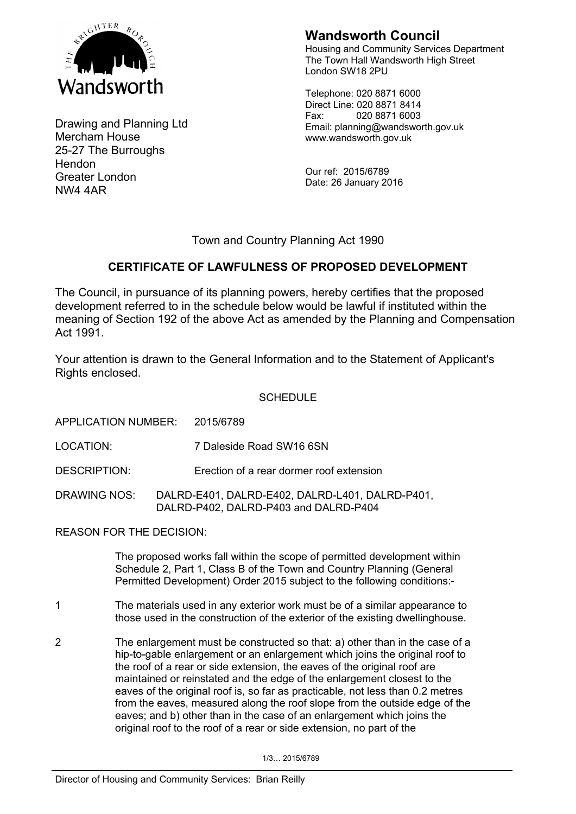

Drawing and Planning Ltd Mercham House 25-27 The Burroughs Hendon Greater London NW4 4AR

# **Wandsworth Council**

Housing and Community Services Department The Town Hall Wandsworth High Street London SW18 2PU

Telephone: 020 8871 6000 Direct Line: 020 8871 8414 Fax: 020 8871 6003 Email: planning@wandsworth.gov.uk www.wandsworth.gov.uk

Our ref: 2015/6789 Date: 26 January 2016

## Town and Country Planning Act 1990

## **CERTIFICATE OF LAWFULNESS OF PROPOSED DEVELOPMENT**

The Council, in pursuance of its planning powers, hereby certifies that the proposed development referred to in the schedule below would be lawful if instituted within the meaning of Section 192 of the above Act as amended by the Planning and Compensation Act 1991.

Your attention is drawn to the General Information and to the Statement of Applicant's Rights enclosed.

## **SCHEDULE**

APPLICATION NUMBER: 2015/6789

LOCATION: 7 Daleside Road SW16 6SN

DESCRIPTION: Erection of a rear dormer roof extension

DRAWING NOS: DALRD-E401, DALRD-E402, DALRD-L401, DALRD-P401, DALRD-P402, DALRD-P403 and DALRD-P404

REASON FOR THE DECISION:

The proposed works fall within the scope of permitted development within Schedule 2, Part 1, Class B of the Town and Country Planning (General Permitted Development) Order 2015 subject to the following conditions:-

- 1 The materials used in any exterior work must be of a similar appearance to those used in the construction of the exterior of the existing dwellinghouse.
- 2 The enlargement must be constructed so that: a) other than in the case of a hip-to-gable enlargement or an enlargement which joins the original roof to the roof of a rear or side extension, the eaves of the original roof are maintained or reinstated and the edge of the enlargement closest to the eaves of the original roof is, so far as practicable, not less than 0.2 metres from the eaves, measured along the roof slope from the outside edge of the eaves; and b) other than in the case of an enlargement which joins the original roof to the roof of a rear or side extension, no part of the

1/3… 2015/6789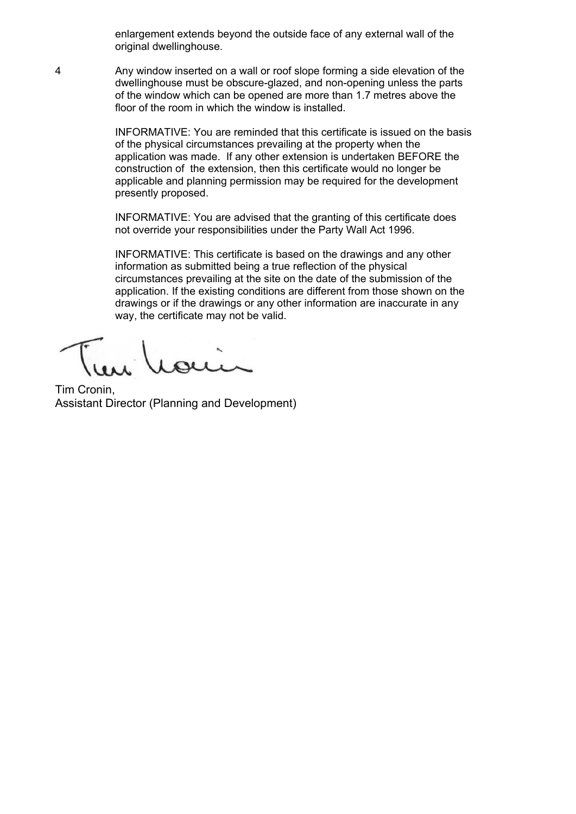enlargement extends beyond the outside face of any external wall of the original dwellinghouse.

4 Any window inserted on a wall or roof slope forming a side elevation of the dwellinghouse must be obscure-glazed, and non-opening unless the parts of the window which can be opened are more than 1.7 metres above the floor of the room in which the window is installed.

> INFORMATIVE: You are reminded that this certificate is issued on the basis of the physical circumstances prevailing at the property when the application was made. If any other extension is undertaken BEFORE the construction of the extension, then this certificate would no longer be applicable and planning permission may be required for the development presently proposed.

INFORMATIVE: You are advised that the granting of this certificate does not override your responsibilities under the Party Wall Act 1996.

INFORMATIVE: This certificate is based on the drawings and any other information as submitted being a true reflection of the physical circumstances prevailing at the site on the date of the submission of the application. If the existing conditions are different from those shown on the drawings or if the drawings or any other information are inaccurate in any way, the certificate may not be valid.

Tim Cronin, Assistant Director (Planning and Development)